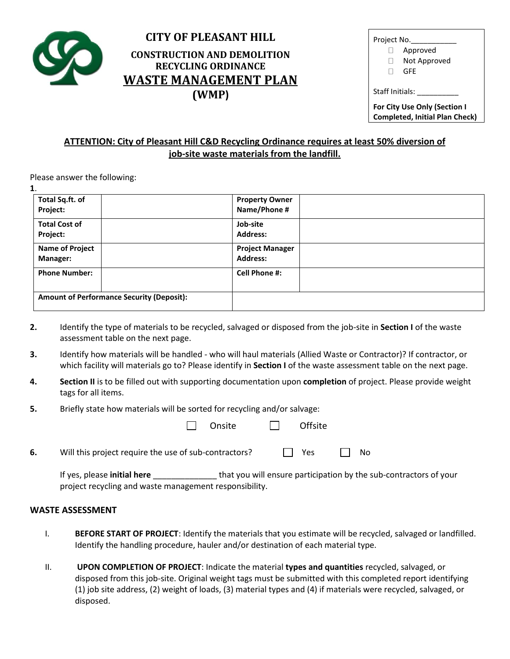

## **CITY OF PLEASANT HILL CONSTRUCTION AND DEMOLITION RECYCLING ORDINANCE WASTE MANAGEMENT PLAN (WMP)**

| Project No.                                            |              |  |  |  |
|--------------------------------------------------------|--------------|--|--|--|
|                                                        | Approved     |  |  |  |
|                                                        | Not Approved |  |  |  |
|                                                        | GFF          |  |  |  |
| Staff Initials:<br><b>For City Use Only (Section I</b> |              |  |  |  |
| <b>Completed, Initial Plan Check)</b>                  |              |  |  |  |
|                                                        |              |  |  |  |

## **ATTENTION: City of Pleasant Hill C&D Recycling Ordinance requires at least 50% diversion of job-site waste materials from the landfill.**

Please answer the following:

| 1.                                               |                        |  |
|--------------------------------------------------|------------------------|--|
| Total Sq.ft. of                                  | <b>Property Owner</b>  |  |
| Project:                                         | Name/Phone #           |  |
| <b>Total Cost of</b>                             | Job-site               |  |
| Project:                                         | <b>Address:</b>        |  |
| <b>Name of Project</b>                           | <b>Project Manager</b> |  |
| <b>Manager:</b>                                  | <b>Address:</b>        |  |
| <b>Phone Number:</b>                             | Cell Phone #:          |  |
| <b>Amount of Performance Security (Deposit):</b> |                        |  |

- **2.** Identify the type of materials to be recycled, salvaged or disposed from the job-site in **Section I** of the waste assessment table on the next page.
- **3.** Identify how materials will be handled who will haul materials (Allied Waste or Contractor)? If contractor, or which facility will materials go to? Please identify in **Section I** of the waste assessment table on the next page.
- **4. Section II** is to be filled out with supporting documentation upon **completion** of project. Please provide weight tags for all items.
- **5.** Briefly state how materials will be sorted for recycling and/or salvage:

|  | □ Onsite □ Offsite |  |
|--|--------------------|--|
|  |                    |  |

**6.** Will this project require the use of sub-contractors?  $\Box$  Yes  $\Box$  No

If yes, please **initial here** \_\_\_\_\_\_\_\_\_\_\_\_\_\_ that you will ensure participation by the sub-contractors of your project recycling and waste management responsibility.

## **WASTE ASSESSMENT**

- I. **BEFORE START OF PROJECT**: Identify the materials that you estimate will be recycled, salvaged or landfilled. Identify the handling procedure, hauler and/or destination of each material type.
- II. **UPON COMPLETION OF PROJECT**: Indicate the material **types and quantities** recycled, salvaged, or disposed from this job-site. Original weight tags must be submitted with this completed report identifying (1) job site address, (2) weight of loads, (3) material types and (4) if materials were recycled, salvaged, or disposed.